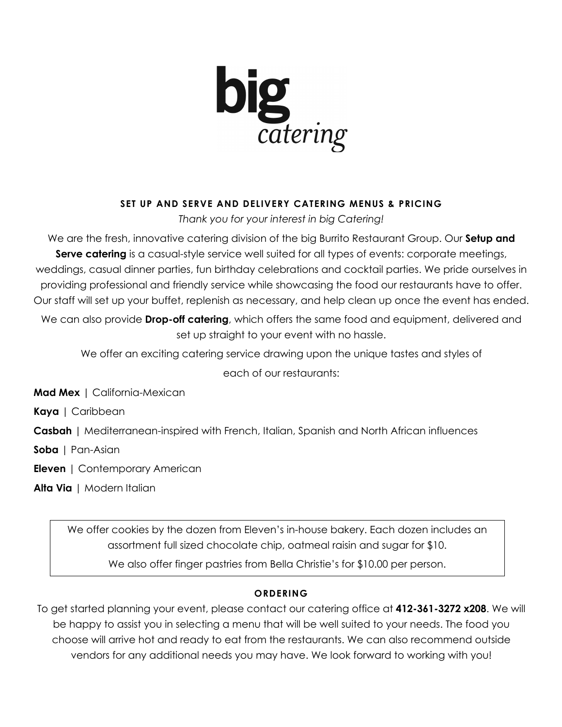

# **SET UP AND SERVE AND DELIVERY CATERING MENUS & PRICING**

*Thank you for your interest in big Catering!*

We are the fresh, innovative catering division of the big Burrito Restaurant Group. Our **Setup and Serve catering** is a casual-style service well suited for all types of events: corporate meetings, weddings, casual dinner parties, fun birthday celebrations and cocktail parties. We pride ourselves in providing professional and friendly service while showcasing the food our restaurants have to offer. Our staff will set up your buffet, replenish as necessary, and help clean up once the event has ended.

We can also provide **Drop-off catering**, which offers the same food and equipment, delivered and set up straight to your event with no hassle.

We offer an exciting catering service drawing upon the unique tastes and styles of each of our restaurants:

**Mad Mex** | California-Mexican

**Kaya** | Caribbean

**Casbah** | Mediterranean-inspired with French, Italian, Spanish and North African influences

**Soba** | Pan-Asian

**Eleven** | Contemporary American

**Alta Via** | Modern Italian

We offer cookies by the dozen from Eleven's in-house bakery. Each dozen includes an assortment full sized chocolate chip, oatmeal raisin and sugar for \$10. We also offer finger pastries from Bella Christie's for \$10.00 per person.

# **ORDERING**

To get started planning your event, please contact our catering office at **412-361-3272 x208**. We will be happy to assist you in selecting a menu that will be well suited to your needs. The food you choose will arrive hot and ready to eat from the restaurants. We can also recommend outside vendors for any additional needs you may have. We look forward to working with you!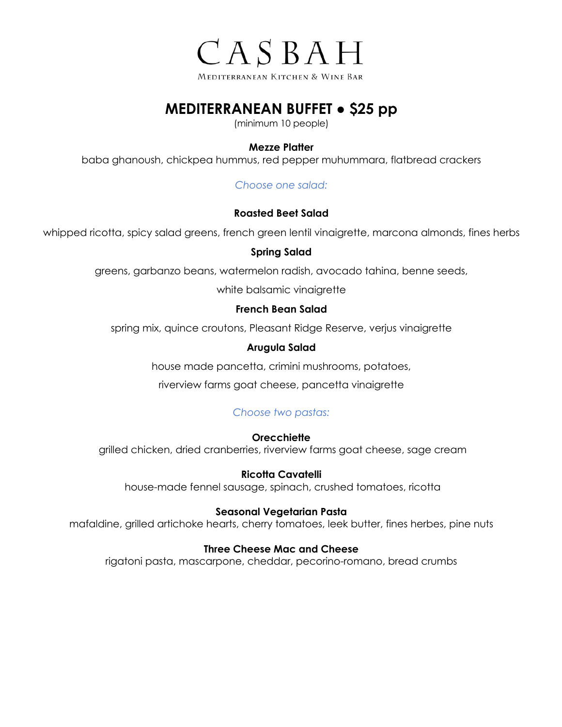

# **MEDITERRANEAN BUFFET ● \$25 pp**

(minimum 10 people)

# **Mezze Platter**

baba ghanoush, chickpea hummus, red pepper muhummara, flatbread crackers

*Choose one salad:*

# **Roasted Beet Salad**

whipped ricotta, spicy salad greens, french green lentil vinaigrette, marcona almonds, fines herbs

# **Spring Salad**

greens, garbanzo beans, watermelon radish, avocado tahina, benne seeds,

white balsamic vinaigrette

# **French Bean Salad**

spring mix, quince croutons, Pleasant Ridge Reserve, verjus vinaigrette

# **Arugula Salad**

house made pancetta, crimini mushrooms, potatoes,

riverview farms goat cheese, pancetta vinaigrette

# *Choose two pastas:*

# **Orecchiette**

grilled chicken, dried cranberries, riverview farms goat cheese, sage cream

# **Ricotta Cavatelli**

house-made fennel sausage, spinach, crushed tomatoes, ricotta

# **Seasonal Vegetarian Pasta**

mafaldine, grilled artichoke hearts, cherry tomatoes, leek butter, fines herbes, pine nuts

# **Three Cheese Mac and Cheese**

rigatoni pasta, mascarpone, cheddar, pecorino-romano, bread crumbs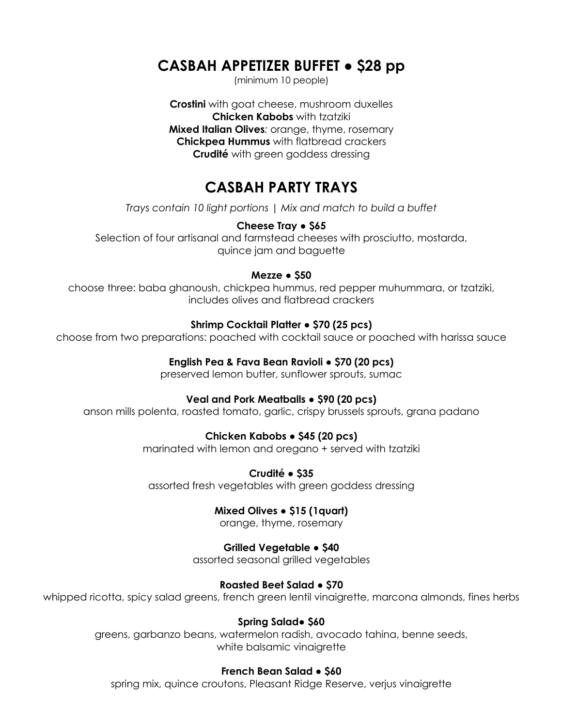# **CASBAH APPETIZER BUFFET ● \$28 pp**

(minimum 10 people)

**Crostini** with goat cheese, mushroom duxelles **Chicken Kabobs** with tzatziki **Mixed Italian Olives***:* orange, thyme, rosemary **Chickpea Hummus** with flatbread crackers **Crudité** with green goddess dressing

# **CASBAH PARTY TRAYS**

*Trays contain 10 light portions | Mix and match to build a buffet*

# **Cheese Tray ● \$65**

Selection of four artisanal and farmstead cheeses with prosciutto, mostarda, quince jam and baguette

## **Mezze ● \$50**

choose three: baba ghanoush, chickpea hummus, red pepper muhummara, or tzatziki, includes olives and flatbread crackers

## **Shrimp Cocktail Platter ● \$70 (25 pcs)**

choose from two preparations: poached with cocktail sauce or poached with harissa sauce

## **English Pea & Fava Bean Ravioli ● \$70 (20 pcs)**

preserved lemon butter, sunflower sprouts, sumac

# **Veal and Pork Meatballs ● \$90 (20 pcs)**

anson mills polenta, roasted tomato, garlic, crispy brussels sprouts, grana padano

# **Chicken Kabobs ● \$45 (20 pcs)**

marinated with lemon and oregano + served with tzatziki

**Crudité ● \$35**

assorted fresh vegetables with green goddess dressing

### **Mixed Olives ● \$15 (1quart)**

orange, thyme, rosemary

# **Grilled Vegetable ● \$40**

assorted seasonal grilled vegetables

# **Roasted Beet Salad ● \$70**

whipped ricotta, spicy salad greens, french green lentil vinaigrette, marcona almonds, fines herbs

### **Spring Salad● \$60**

greens, garbanzo beans, watermelon radish, avocado tahina, benne seeds, white balsamic vinaigrette

### **French Bean Salad ● \$60**

spring mix, quince croutons, Pleasant Ridge Reserve, verjus vinaigrette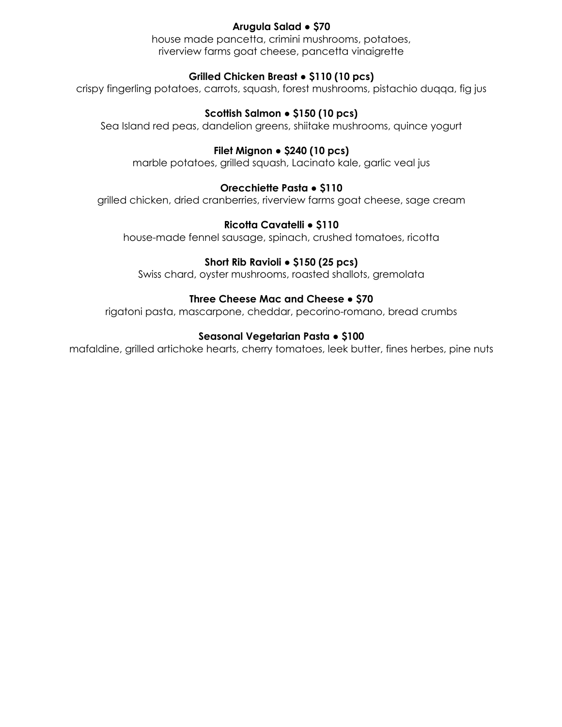# **Arugula Salad ● \$70**

house made pancetta, crimini mushrooms, potatoes, riverview farms goat cheese, pancetta vinaigrette

# **Grilled Chicken Breast ● \$110 (10 pcs)**

crispy fingerling potatoes, carrots, squash, forest mushrooms, pistachio duqqa, fig jus

## **Scottish Salmon ● \$150 (10 pcs)**

Sea Island red peas, dandelion greens, shiitake mushrooms, quince yogurt

## **Filet Mignon ● \$240 (10 pcs)**

marble potatoes, grilled squash, Lacinato kale, garlic veal jus

# **Orecchiette Pasta ● \$110**

grilled chicken, dried cranberries, riverview farms goat cheese, sage cream

# **Ricotta Cavatelli ● \$110**

house-made fennel sausage, spinach, crushed tomatoes, ricotta

## **Short Rib Ravioli ● \$150 (25 pcs)**

Swiss chard, oyster mushrooms, roasted shallots, gremolata

## **Three Cheese Mac and Cheese ● \$70**

rigatoni pasta, mascarpone, cheddar, pecorino-romano, bread crumbs

## **Seasonal Vegetarian Pasta ● \$100**

mafaldine, grilled artichoke hearts, cherry tomatoes, leek butter, fines herbes, pine nuts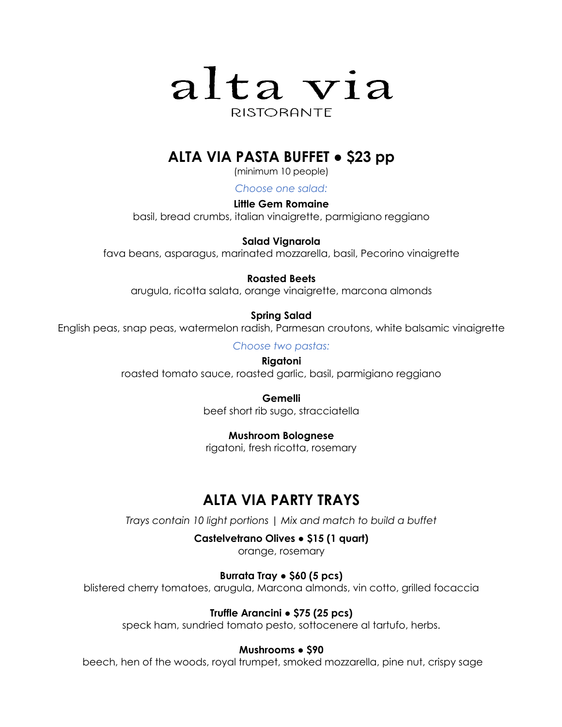

# **ALTA VIA PASTA BUFFET ● \$23 pp**

(minimum 10 people)

*Choose one salad:*

**Little Gem Romaine** basil, bread crumbs, italian vinaigrette, parmigiano reggiano

**Salad Vignarola** 

fava beans, asparagus, marinated mozzarella, basil, Pecorino vinaigrette

# **Roasted Beets**

arugula, ricotta salata, orange vinaigrette, marcona almonds

# **Spring Salad**

English peas, snap peas, watermelon radish, Parmesan croutons, white balsamic vinaigrette

*Choose two pastas:*

**Rigatoni** roasted tomato sauce, roasted garlic, basil, parmigiano reggiano

> **Gemelli** beef short rib sugo, stracciatella

# **Mushroom Bolognese**

rigatoni, fresh ricotta, rosemary

# **ALTA VIA PARTY TRAYS**

*Trays contain 10 light portions | Mix and match to build a buffet*

**Castelvetrano Olives ● \$15 (1 quart)**

orange, rosemary

# **Burrata Tray ● \$60 (5 pcs)**

blistered cherry tomatoes, arugula, Marcona almonds, vin cotto, grilled focaccia

# **Truffle Arancini ● \$75 (25 pcs)**

speck ham, sundried tomato pesto, sottocenere al tartufo, herbs.

# **Mushrooms ● \$90**

beech, hen of the woods, royal trumpet, smoked mozzarella, pine nut, crispy sage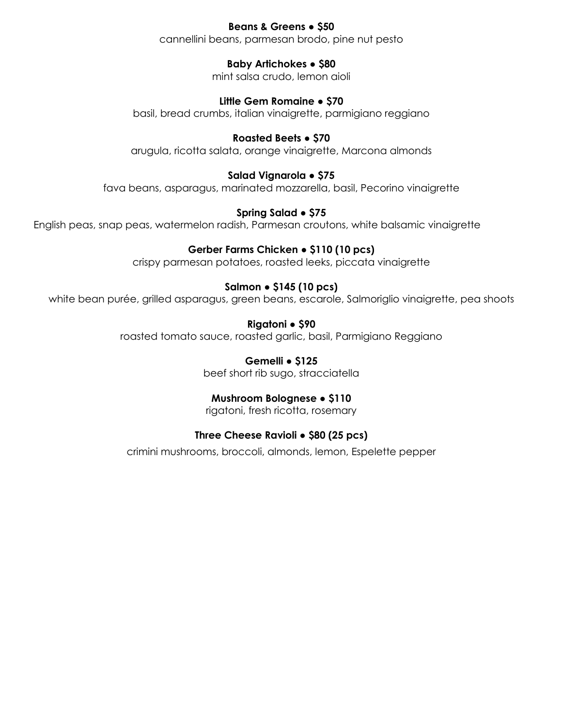# **Beans & Greens ● \$50**

cannellini beans, parmesan brodo, pine nut pesto

# **Baby Artichokes ● \$80**

mint salsa crudo, lemon aioli

# **Little Gem Romaine ● \$70**

basil, bread crumbs, italian vinaigrette, parmigiano reggiano

# **Roasted Beets ● \$70**

arugula, ricotta salata, orange vinaigrette, Marcona almonds

# **Salad Vignarola ● \$75**

fava beans, asparagus, marinated mozzarella, basil, Pecorino vinaigrette

# **Spring Salad ● \$75**

English peas, snap peas, watermelon radish, Parmesan croutons, white balsamic vinaigrette

# **Gerber Farms Chicken ● \$110 (10 pcs)**

crispy parmesan potatoes, roasted leeks, piccata vinaigrette

# **Salmon ● \$145 (10 pcs)**

white bean purée, grilled asparagus, green beans, escarole, Salmoriglio vinaigrette, pea shoots

**Rigatoni ● \$90**

roasted tomato sauce, roasted garlic, basil, Parmigiano Reggiano

**Gemelli ● \$125** beef short rib sugo, stracciatella

# **Mushroom Bolognese ● \$110**

rigatoni, fresh ricotta, rosemary

# **Three Cheese Ravioli ● \$80 (25 pcs)**

crimini mushrooms, broccoli, almonds, lemon, Espelette pepper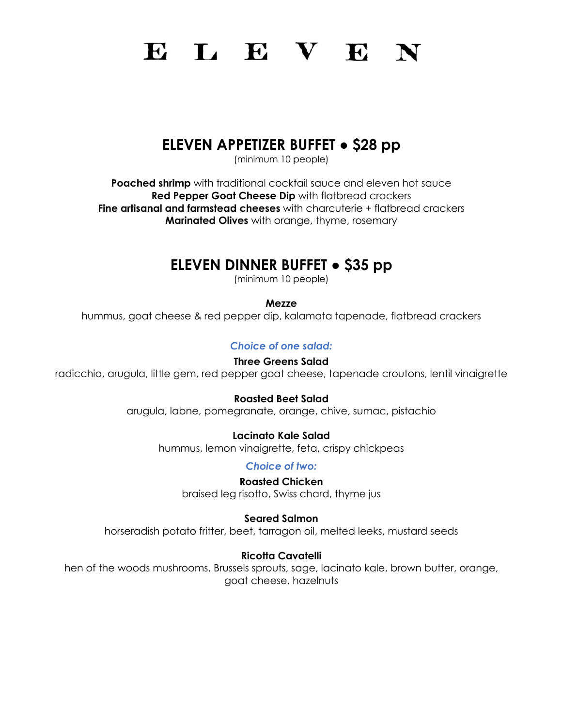# ELEVEN

# **ELEVEN APPETIZER BUFFET ● \$28 pp**

(minimum 10 people)

**Poached shrimp** with traditional cocktail sauce and eleven hot sauce **Red Pepper Goat Cheese Dip** with flatbread crackers **Fine artisanal and farmstead cheeses** with charcuterie + flatbread crackers **Marinated Olives** with orange, thyme, rosemary

# **ELEVEN DINNER BUFFET ● \$35 pp**

(minimum 10 people)

**Mezze**

hummus, goat cheese & red pepper dip, kalamata tapenade, flatbread crackers

*Choice of one salad:*

### **Three Greens Salad**

radicchio, arugula, little gem, red pepper goat cheese, tapenade croutons, lentil vinaigrette

**Roasted Beet Salad** 

arugula, labne, pomegranate, orange, chive, sumac, pistachio

# **Lacinato Kale Salad**

hummus, lemon vinaigrette, feta, crispy chickpeas

*Choice of two:*

**Roasted Chicken** braised leg risotto, Swiss chard, thyme jus

**Seared Salmon**

horseradish potato fritter, beet, tarragon oil, melted leeks, mustard seeds

# **Ricotta Cavatelli**

hen of the woods mushrooms, Brussels sprouts, sage, lacinato kale, brown butter, orange, goat cheese, hazelnuts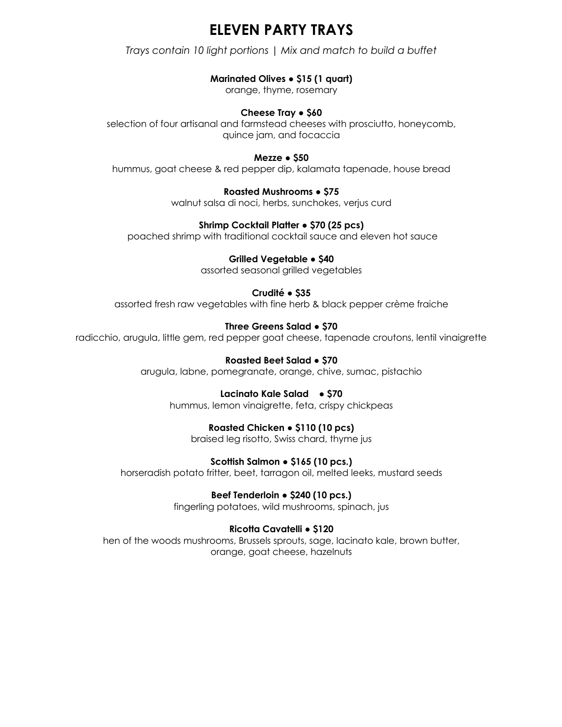# **ELEVEN PARTY TRAYS**

*Trays contain 10 light portions | Mix and match to build a buffet*

# **Marinated Olives ● \$15 (1 quart)**

orange, thyme, rosemary

## **Cheese Tray ● \$60**

selection of four artisanal and farmstead cheeses with prosciutto, honeycomb, quince jam, and focaccia

### **Mezze ● \$50**

hummus, goat cheese & red pepper dip, kalamata tapenade, house bread

# **Roasted Mushrooms ● \$75**

walnut salsa di noci, herbs, sunchokes, verjus curd

## **Shrimp Cocktail Platter ● \$70 (25 pcs)**

poached shrimp with traditional cocktail sauce and eleven hot sauce

# **Grilled Vegetable ● \$40**

assorted seasonal grilled vegetables

# **Crudité ● \$35**

assorted fresh raw vegetables with fine herb & black pepper crème fraiche

# **Three Greens Salad ● \$70**

radicchio, arugula, little gem, red pepper goat cheese, tapenade croutons, lentil vinaigrette

#### **Roasted Beet Salad ● \$70** arugula, labne, pomegranate, orange, chive, sumac, pistachio

# **Lacinato Kale Salad** ● **\$70**

hummus, lemon vinaigrette, feta, crispy chickpeas

# **Roasted Chicken ● \$110 (10 pcs)**

braised leg risotto, Swiss chard, thyme jus

# **Scottish Salmon ● \$165 (10 pcs.)**

horseradish potato fritter, beet, tarragon oil, melted leeks, mustard seeds

# **Beef Tenderloin ● \$240 (10 pcs.)**

fingerling potatoes, wild mushrooms, spinach, jus

# **Ricotta Cavatelli ● \$120**

hen of the woods mushrooms, Brussels sprouts, sage, lacinato kale, brown butter, orange, goat cheese, hazelnuts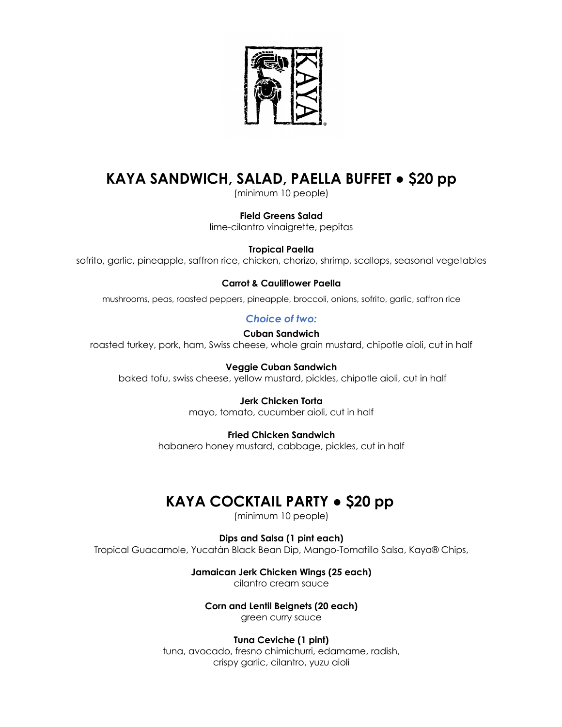

# **KAYA SANDWICH, SALAD, PAELLA BUFFET ● \$20 pp**

(minimum 10 people)

#### **Field Greens Salad**

lime-cilantro vinaigrette, pepitas

### **Tropical Paella**

sofrito, garlic, pineapple, saffron rice, chicken, chorizo, shrimp, scallops, seasonal vegetables

### **Carrot & Cauliflower Paella**

mushrooms, peas, roasted peppers, pineapple, broccoli, onions, sofrito, garlic, saffron rice

## *Choice of two:*

**Cuban Sandwich** roasted turkey, pork, ham, Swiss cheese, whole grain mustard, chipotle aioli, cut in half

**Veggie Cuban Sandwich** baked tofu, swiss cheese, yellow mustard, pickles, chipotle aioli, cut in half

### **Jerk Chicken Torta**

mayo, tomato, cucumber aioli, cut in half

### **Fried Chicken Sandwich**

habanero honey mustard, cabbage, pickles, cut in half

# **KAYA COCKTAIL PARTY ● \$20 pp**

(minimum 10 people)

**Dips and Salsa (1 pint each)**

Tropical Guacamole, Yucatán Black Bean Dip, Mango-Tomatillo Salsa, Kaya® Chips,

**Jamaican Jerk Chicken Wings (25 each)**

cilantro cream sauce

### **Corn and Lentil Beignets (20 each)**

green curry sauce

### **Tuna Ceviche (1 pint)**

tuna, avocado, fresno chimichurri, edamame, radish, crispy garlic, cilantro, yuzu aioli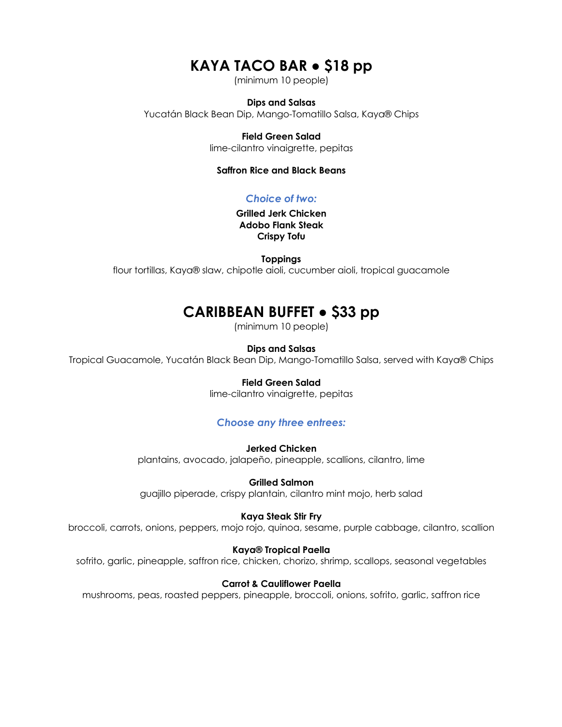# **KAYA TACO BAR ● \$18 pp**

(minimum 10 people)

#### **Dips and Salsas**

Yucatán Black Bean Dip, Mango-Tomatillo Salsa, Kaya® Chips

### **Field Green Salad**

lime-cilantro vinaigrette, pepitas

#### **Saffron Rice and Black Beans**

## *Choice of two:*

**Grilled Jerk Chicken Adobo Flank Steak Crispy Tofu**

**Toppings**

flour tortillas, Kaya® slaw, chipotle aioli, cucumber aioli, tropical guacamole

# **CARIBBEAN BUFFET ● \$33 pp**

(minimum 10 people)

#### **Dips and Salsas**

Tropical Guacamole, Yucatán Black Bean Dip, Mango-Tomatillo Salsa, served with Kaya® Chips

#### **Field Green Salad**

lime-cilantro vinaigrette, pepitas

### *Choose any three entrees:*

**Jerked Chicken**

plantains, avocado, jalapeño, pineapple, scallions, cilantro, lime

**Grilled Salmon** guajillo piperade, crispy plantain, cilantro mint mojo, herb salad

#### **Kaya Steak Stir Fry**

broccoli, carrots, onions, peppers, mojo rojo, quinoa, sesame, purple cabbage, cilantro, scallion

#### **Kaya® Tropical Paella**

sofrito, garlic, pineapple, saffron rice, chicken, chorizo, shrimp, scallops, seasonal vegetables

#### **Carrot & Cauliflower Paella**

mushrooms, peas, roasted peppers, pineapple, broccoli, onions, sofrito, garlic, saffron rice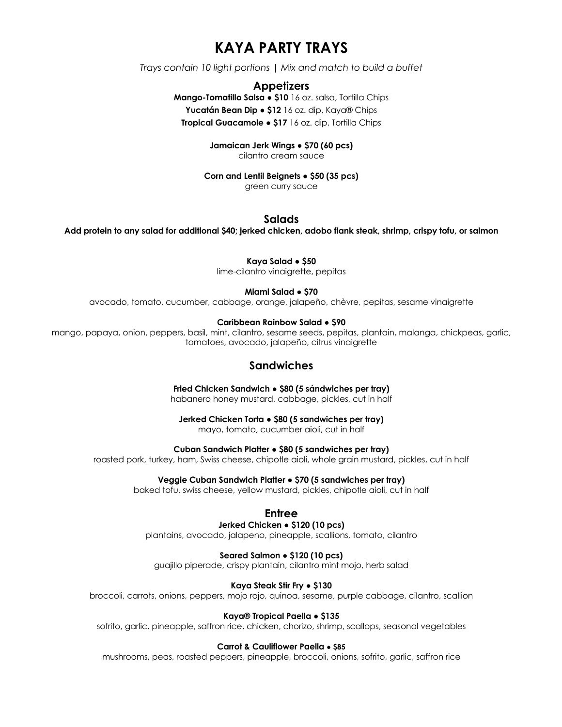# **KAYA PARTY TRAYS**

*Trays contain 10 light portions | Mix and match to build a buffet*

### **Appetizers**

**Mango-Tomatillo Salsa ● \$10** 16 oz. salsa, Tortilla Chips **Yucatán Bean Dip ● \$12** 16 oz. dip, Kaya® Chips **Tropical Guacamole ● \$17** 16 oz. dip, Tortilla Chips

> **Jamaican Jerk Wings ● \$70 (60 pcs)** cilantro cream sauce

**Corn and Lentil Beignets ● \$50 (35 pcs)**

green curry sauce

#### **Salads**

**Add protein to any salad for additional \$40; jerked chicken, adobo flank steak, shrimp, crispy tofu, or salmon**

**Kaya Salad ● \$50**

lime-cilantro vinaigrette, pepitas

#### **Miami Salad ● \$70**

avocado, tomato, cucumber, cabbage, orange, jalapeño, chèvre, pepitas, sesame vinaigrette

#### **Caribbean Rainbow Salad ● \$90**

mango, papaya, onion, peppers, basil, mint, cilantro, sesame seeds, pepitas, plantain, malanga, chickpeas, garlic, tomatoes, avocado, jalapeño, citrus vinaigrette

## **Sandwiches**

**Fried Chicken Sandwich ● \$80 (5 sándwiches per tray)** habanero honey mustard, cabbage, pickles, cut in half

**Jerked Chicken Torta ● \$80 (5 sandwiches per tray)**

mayo, tomato, cucumber aioli, cut in half

**Cuban Sandwich Platter ● \$80 (5 sandwiches per tray)**

roasted pork, turkey, ham, Swiss cheese, chipotle aioli, whole grain mustard, pickles, cut in half

**Veggie Cuban Sandwich Platter ● \$70 (5 sandwiches per tray)**

baked tofu, swiss cheese, yellow mustard, pickles, chipotle aioli, cut in half

#### **Entree**

#### **Jerked Chicken ● \$120 (10 pcs)**

plantains, avocado, jalapeno, pineapple, scallions, tomato, cilantro

**Seared Salmon ● \$120 (10 pcs)**

guajillo piperade, crispy plantain, cilantro mint mojo, herb salad

#### **Kaya Steak Stir Fry ● \$130**

broccoli, carrots, onions, peppers, mojo rojo, quinoa, sesame, purple cabbage, cilantro, scallion

#### **Kaya® Tropical Paella ● \$135**

sofrito, garlic, pineapple, saffron rice, chicken, chorizo, shrimp, scallops, seasonal vegetables

#### **Carrot & Cauliflower Paella ● \$85**

mushrooms, peas, roasted peppers, pineapple, broccoli, onions, sofrito, garlic, saffron rice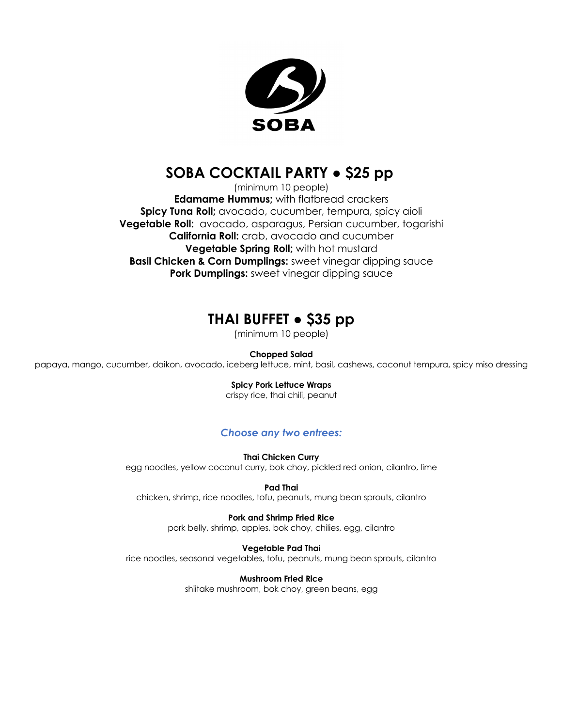

# **SOBA COCKTAIL PARTY ● \$25 pp**

(minimum 10 people) **Edamame Hummus;** with flatbread crackers **Spicy Tuna Roll;** avocado, cucumber, tempura, spicy aioli **Vegetable Roll:** avocado, asparagus, Persian cucumber, togarishi **California Roll:** crab, avocado and cucumber **Vegetable Spring Roll;** with hot mustard **Basil Chicken & Corn Dumplings:** sweet vinegar dipping sauce **Pork Dumplings:** sweet vinegar dipping sauce

# **THAI BUFFET ● \$35 pp**

(minimum 10 people)

**Chopped Salad**

papaya, mango, cucumber, daikon, avocado, iceberg lettuce, mint, basil, cashews, coconut tempura, spicy miso dressing

#### **Spicy Pork Lettuce Wraps**

crispy rice, thai chili, peanut

# *Choose any two entrees:*

**Thai Chicken Curry** egg noodles, yellow coconut curry, bok choy, pickled red onion, cilantro, lime

**Pad Thai** chicken, shrimp, rice noodles, tofu, peanuts, mung bean sprouts, cilantro

> **Pork and Shrimp Fried Rice** pork belly, shrimp, apples, bok choy, chilies, egg, cilantro

**Vegetable Pad Thai** rice noodles, seasonal vegetables, tofu, peanuts, mung bean sprouts, cilantro

> **Mushroom Fried Rice** shiitake mushroom, bok choy, green beans, egg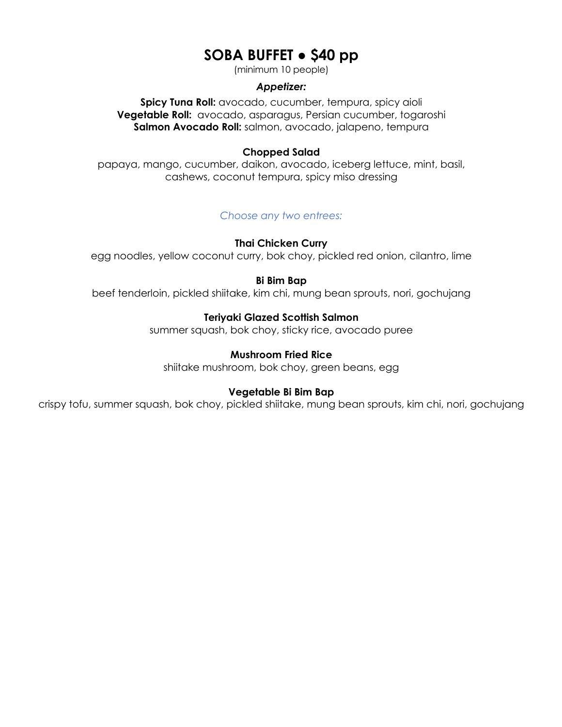# **SOBA BUFFET ● \$40 pp**

(minimum 10 people)

### *Appetizer:*

**Spicy Tuna Roll:** avocado, cucumber, tempura, spicy aioli **Vegetable Roll:** avocado, asparagus, Persian cucumber, togaroshi **Salmon Avocado Roll:** salmon, avocado, jalapeno, tempura

### **Chopped Salad**

papaya, mango, cucumber, daikon, avocado, iceberg lettuce, mint, basil, cashews, coconut tempura, spicy miso dressing

# *Choose any two entrees:*

### **Thai Chicken Curry**

egg noodles, yellow coconut curry, bok choy, pickled red onion, cilantro, lime

### **Bi Bim Bap**

beef tenderloin, pickled shiitake, kim chi, mung bean sprouts, nori, gochujang

### **Teriyaki Glazed Scottish Salmon**

summer squash, bok choy, sticky rice, avocado puree

## **Mushroom Fried Rice**

shiitake mushroom, bok choy, green beans, egg

### **Vegetable Bi Bim Bap**

crispy tofu, summer squash, bok choy, pickled shiitake, mung bean sprouts, kim chi, nori, gochujang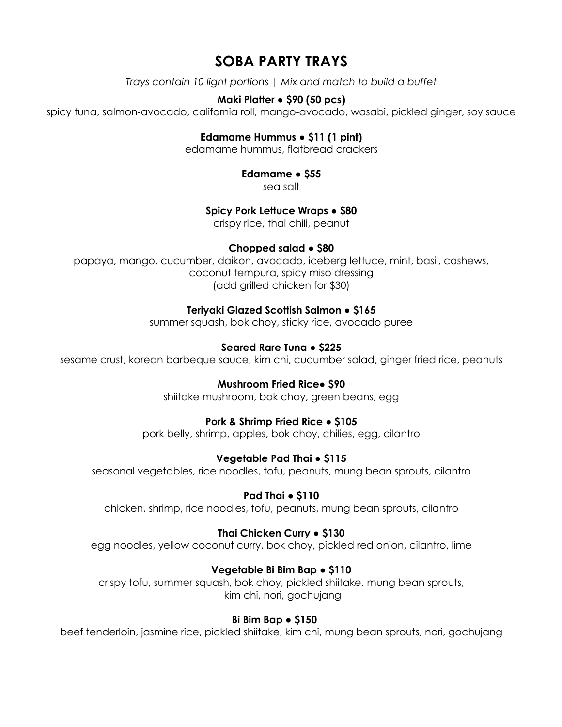# **SOBA PARTY TRAYS**

*Trays contain 10 light portions | Mix and match to build a buffet*

# **Maki Platter ● \$90 (50 pcs)**

spicy tuna, salmon-avocado, california roll, mango-avocado, wasabi, pickled ginger, soy sauce

# **Edamame Hummus ● \$11 (1 pint)**

edamame hummus, flatbread crackers

# **Edamame ● \$55**

sea salt

# **Spicy Pork Lettuce Wraps ● \$80**

crispy rice, thai chili, peanut

# **Chopped salad ● \$80**

papaya, mango, cucumber, daikon, avocado, iceberg lettuce, mint, basil, cashews, coconut tempura, spicy miso dressing (add grilled chicken for \$30)

# **Teriyaki Glazed Scottish Salmon ● \$165**

summer squash, bok choy, sticky rice, avocado puree

# **Seared Rare Tuna ● \$225**

sesame crust, korean barbeque sauce, kim chi, cucumber salad, ginger fried rice, peanuts

# **Mushroom Fried Rice● \$90**

shiitake mushroom, bok choy, green beans, egg

# **Pork & Shrimp Fried Rice ● \$105**

pork belly, shrimp, apples, bok choy, chilies, egg, cilantro

# **Vegetable Pad Thai ● \$115**

seasonal vegetables, rice noodles, tofu, peanuts, mung bean sprouts, cilantro

# **Pad Thai ● \$110**

chicken, shrimp, rice noodles, tofu, peanuts, mung bean sprouts, cilantro

# **Thai Chicken Curry ● \$130**

egg noodles, yellow coconut curry, bok choy, pickled red onion, cilantro, lime

# **Vegetable Bi Bim Bap ● \$110**

crispy tofu, summer squash, bok choy, pickled shiitake, mung bean sprouts, kim chi, nori, gochujang

# **Bi Bim Bap ● \$150**

beef tenderloin, jasmine rice, pickled shiitake, kim chi, mung bean sprouts, nori, gochujang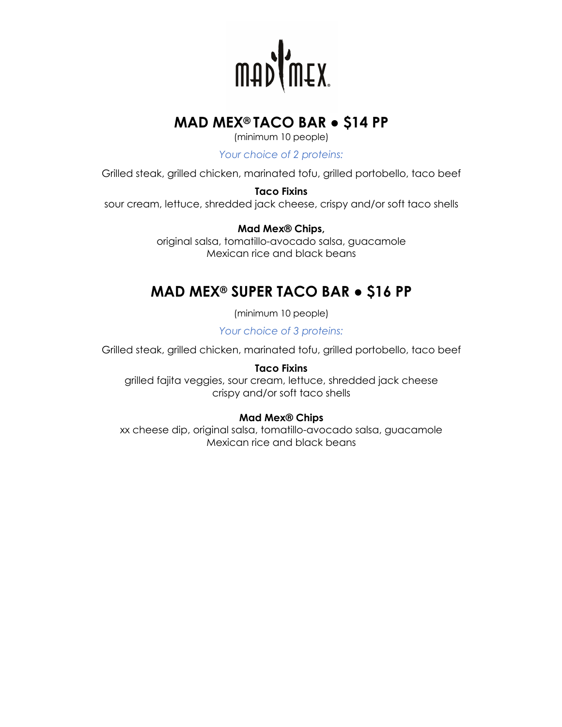

# **MAD MEX® TACO BAR ● \$14 PP**

(minimum 10 people)

*Your choice of 2 proteins:*

Grilled steak, grilled chicken, marinated tofu, grilled portobello, taco beef

**Taco Fixins**

sour cream, lettuce, shredded jack cheese, crispy and/or soft taco shells

**Mad Mex® Chips,** 

original salsa, tomatillo-avocado salsa, guacamole Mexican rice and black beans

# **MAD MEX® SUPER TACO BAR ● \$16 PP**

(minimum 10 people)

*Your choice of 3 proteins:*

Grilled steak, grilled chicken, marinated tofu, grilled portobello, taco beef

**Taco Fixins**

grilled fajita veggies, sour cream, lettuce, shredded jack cheese crispy and/or soft taco shells

# **Mad Mex® Chips**

xx cheese dip, original salsa, tomatillo-avocado salsa, guacamole Mexican rice and black beans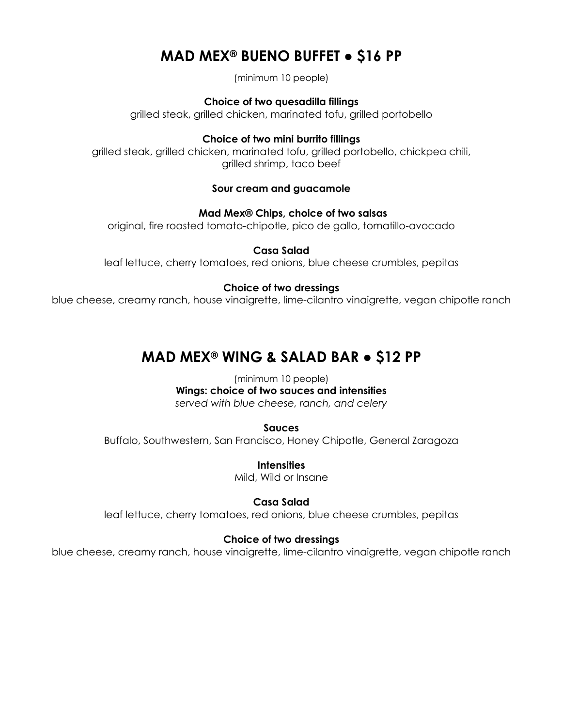# **MAD MEX® BUENO BUFFET ● \$16 PP**

(minimum 10 people)

**Choice of two quesadilla fillings**

grilled steak, grilled chicken, marinated tofu, grilled portobello

**Choice of two mini burrito fillings**

grilled steak, grilled chicken, marinated tofu, grilled portobello, chickpea chili, grilled shrimp, taco beef

## **Sour cream and guacamole**

**Mad Mex® Chips, choice of two salsas**

original, fire roasted tomato-chipotle, pico de gallo, tomatillo-avocado

## **Casa Salad**

leaf lettuce, cherry tomatoes, red onions, blue cheese crumbles, pepitas

## **Choice of two dressings**

blue cheese, creamy ranch, house vinaigrette, lime-cilantro vinaigrette, vegan chipotle ranch

# **MAD MEX® WING & SALAD BAR ● \$12 PP**

(minimum 10 people) **Wings: choice of two sauces and intensities** *served with blue cheese, ranch, and celery*

**Sauces**

Buffalo, Southwestern, San Francisco, Honey Chipotle, General Zaragoza

**Intensities** Mild, Wild or Insane

**Casa Salad** leaf lettuce, cherry tomatoes, red onions, blue cheese crumbles, pepitas

# **Choice of two dressings**

blue cheese, creamy ranch, house vinaigrette, lime-cilantro vinaigrette, vegan chipotle ranch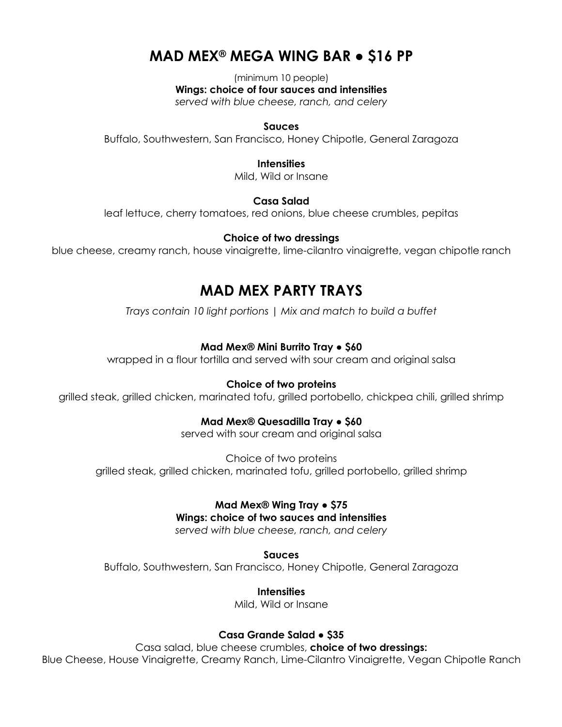# **MAD MEX® MEGA WING BAR ● \$16 PP**

(minimum 10 people) **Wings: choice of four sauces and intensities**

*served with blue cheese, ranch, and celery*

## **Sauces**

Buffalo, Southwestern, San Francisco, Honey Chipotle, General Zaragoza

### **Intensities**

Mild, Wild or Insane

# **Casa Salad**

leaf lettuce, cherry tomatoes, red onions, blue cheese crumbles, pepitas

## **Choice of two dressings**

blue cheese, creamy ranch, house vinaigrette, lime-cilantro vinaigrette, vegan chipotle ranch

# **MAD MEX PARTY TRAYS**

*Trays contain 10 light portions | Mix and match to build a buffet*

# **Mad Mex® Mini Burrito Tray ● \$60**

wrapped in a flour tortilla and served with sour cream and original salsa

# **Choice of two proteins**

grilled steak, grilled chicken, marinated tofu, grilled portobello, chickpea chili, grilled shrimp

# **Mad Mex® Quesadilla Tray ● \$60**

served with sour cream and original salsa

Choice of two proteins grilled steak, grilled chicken, marinated tofu, grilled portobello, grilled shrimp

# **Mad Mex® Wing Tray ● \$75**

# **Wings: choice of two sauces and intensities**

*served with blue cheese, ranch, and celery*

**Sauces**

Buffalo, Southwestern, San Francisco, Honey Chipotle, General Zaragoza

# **Intensities**

Mild, Wild or Insane

# **Casa Grande Salad ● \$35**

Casa salad, blue cheese crumbles, **choice of two dressings:** Blue Cheese, House Vinaigrette, Creamy Ranch, Lime-Cilantro Vinaigrette, Vegan Chipotle Ranch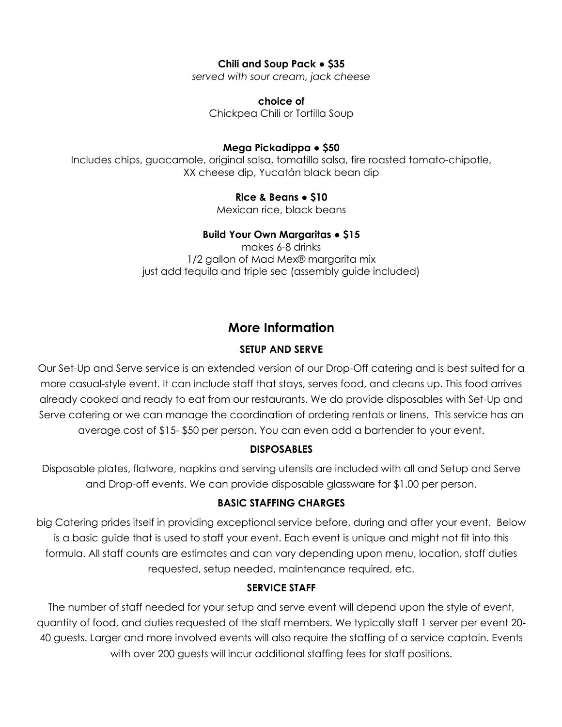# **Chili and Soup Pack ● \$35**

*served with sour cream, jack cheese*

**choice of**  Chickpea Chili or Tortilla Soup

# **Mega Pickadippa ● \$50**

Includes chips, guacamole, original salsa, tomatillo salsa, fire roasted tomato-chipotle, XX cheese dip, Yucatán black bean dip

# **Rice & Beans ● \$10**

Mexican rice, black beans

# **Build Your Own Margaritas ● \$15**

makes 6-8 drinks 1/2 gallon of Mad Mex® margarita mix just add tequila and triple sec (assembly guide included)

# **More Information**

# **SETUP AND SERVE**

Our Set-Up and Serve service is an extended version of our Drop-Off catering and is best suited for a more casual-style event. It can include staff that stays, serves food, and cleans up. This food arrives already cooked and ready to eat from our restaurants. We do provide disposables with Set-Up and Serve catering or we can manage the coordination of ordering rentals or linens. This service has an average cost of \$15- \$50 per person. You can even add a bartender to your event.

# **DISPOSABLES**

Disposable plates, flatware, napkins and serving utensils are included with all and Setup and Serve and Drop-off events. We can provide disposable glassware for \$1.00 per person.

# **BASIC STAFFING CHARGES**

big Catering prides itself in providing exceptional service before, during and after your event. Below is a basic guide that is used to staff your event. Each event is unique and might not fit into this formula. All staff counts are estimates and can vary depending upon menu, location, staff duties requested, setup needed, maintenance required, etc.

# **SERVICE STAFF**

The number of staff needed for your setup and serve event will depend upon the style of event, quantity of food, and duties requested of the staff members. We typically staff 1 server per event 20- 40 guests. Larger and more involved events will also require the staffing of a service captain. Events with over 200 guests will incur additional staffing fees for staff positions.